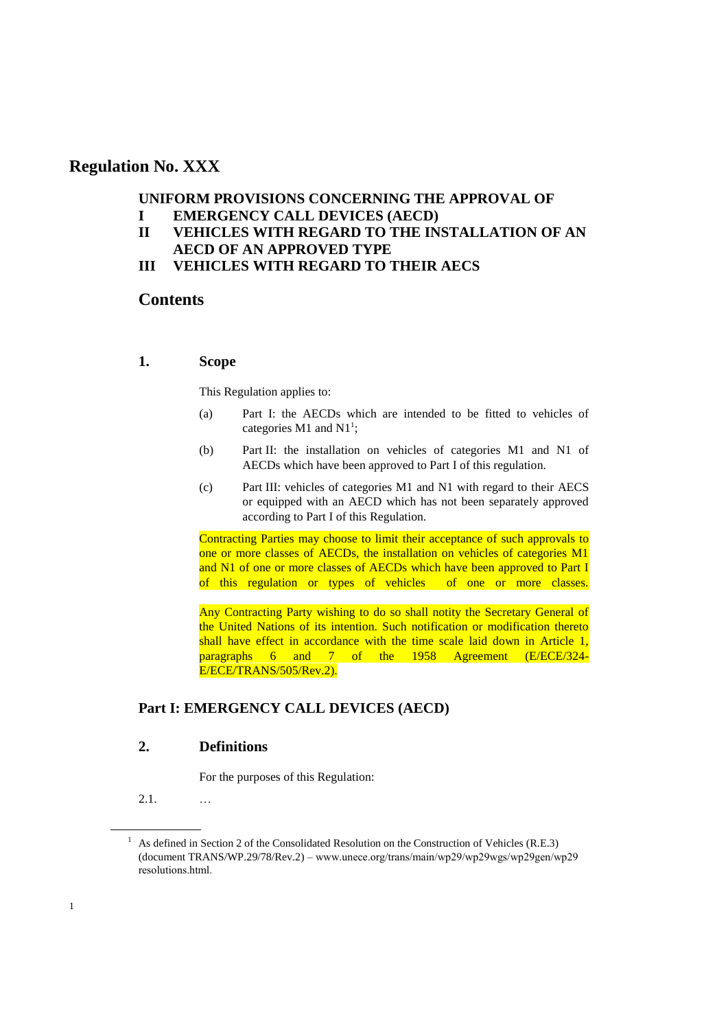## **Regulation No. XXX**

## **UNIFORM PROVISIONS CONCERNING THE APPROVAL OF I EMERGENCY CALL DEVICES (AECD)**

- **II VEHICLES WITH REGARD TO THE INSTALLATION OF AN AECD OF AN APPROVED TYPE**
- **III VEHICLES WITH REGARD TO THEIR AECS**

## **Contents**

## **1. Scope**

This Regulation applies to:

- (a) Part I: the AECDs which are intended to be fitted to vehicles of categories  $M1$  and  $N1^1$ ;
- (b) Part II: the installation on vehicles of categories M1 and N1 of AECDs which have been approved to Part I of this regulation.
- (c) Part III: vehicles of categories M1 and N1 with regard to their AECS or equipped with an AECD which has not been separately approved according to Part I of this Regulation.

Contracting Parties may choose to limit their acceptance of such approvals to one or more classes of AECDs, the installation on vehicles of categories M1 and N1 of one or more classes of AECDs which have been approved to Part I of this regulation or types of vehicles of one or more classes.

Any Contracting Party wishing to do so shall notity the Secretary General of the United Nations of its intention. Such notification or modification thereto shall have effect in accordance with the time scale laid down in Article 1, paragraphs 6 and 7 of the 1958 Agreement (E/ECE/324- E/ECE/TRANS/505/Rev.2).

## **Part I: EMERGENCY CALL DEVICES (AECD)**

## **2. Definitions**

For the purposes of this Regulation:

2.1. …

1

<sup>&</sup>lt;sup>1</sup> As defined in Section 2 of the Consolidated Resolution on the Construction of Vehicles (R.E.3) (document TRANS/WP.29/78/Rev.2) – www.uneсe.оrg/trаns/mаin/wp29/wp29wgs/wp29gen/wp29 resоlutiоns.html.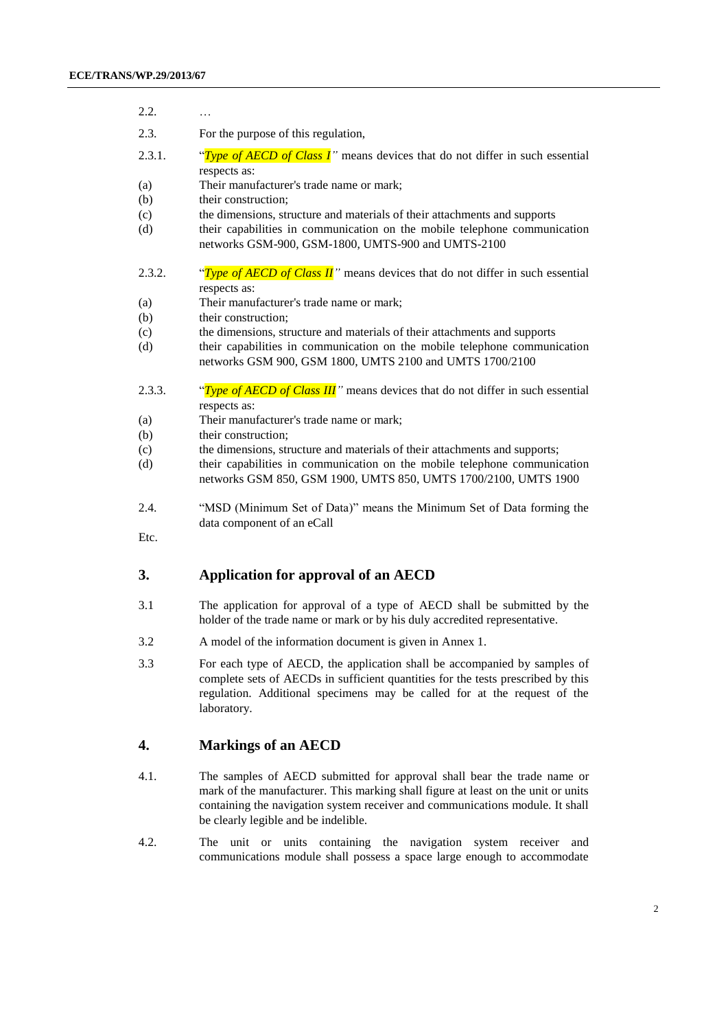2.2. …

| 2.3. | For the purpose of this regulation, |
|------|-------------------------------------|

- 2.3.1. "*Type of AECD of Class I"* means devices that do not differ in such essential respects as:
- (a) Their manufacturer's trade name or mark;
- (b) their construction:
- (c) the dimensions, structure and materials of their attachments and supports
- (d) their capabilities in communication on the mobile telephone communication networks GSM-900, GSM-1800, UMTS-900 and UMTS-2100
- 2.3.2. "*Type of AECD of Class II*" means devices that do not differ in such essential respects as:
- (a) Their manufacturer's trade name or mark;
- (b) their construction;
- (c) the dimensions, structure and materials of their attachments and supports
- (d) their capabilities in communication on the mobile telephone communication networks GSM 900, GSM 1800, UMTS 2100 and UMTS 1700/2100
- 2.3.3. "*Type of AECD of Class III*" means devices that do not differ in such essential respects as:
- (a) Their manufacturer's trade name or mark;
- (b) their construction;
- (c) the dimensions, structure and materials of their attachments and supports;
- (d) their capabilities in communication on the mobile telephone communication networks GSM 850, GSM 1900, UMTS 850, UMTS 1700/2100, UMTS 1900
- 2.4. "MSD (Minimum Set of Data)" means the Minimum Set of Data forming the data component of an eCall

Etc.

## **3. Application for approval of an AECD**

- 3.1 The application for approval of a type of AECD shall be submitted by the holder of the trade name or mark or by his duly accredited representative.
- 3.2 A model of the information document is given in Annex 1.
- 3.3 For each type of AECD, the application shall be accompanied by samples of complete sets of AECDs in sufficient quantities for the tests prescribed by this regulation. Additional specimens may be called for at the request of the laboratory.

## **4. Markings of an AECD**

- 4.1. The samples of AECD submitted for approval shall bear the trade name or mark of the manufacturer. This marking shall figure at least on the unit or units containing the navigation system receiver and communications module. It shall be clearly legible and be indelible.
- 4.2. The unit or units containing the navigation system receiver and communications module shall possess a space large enough to accommodate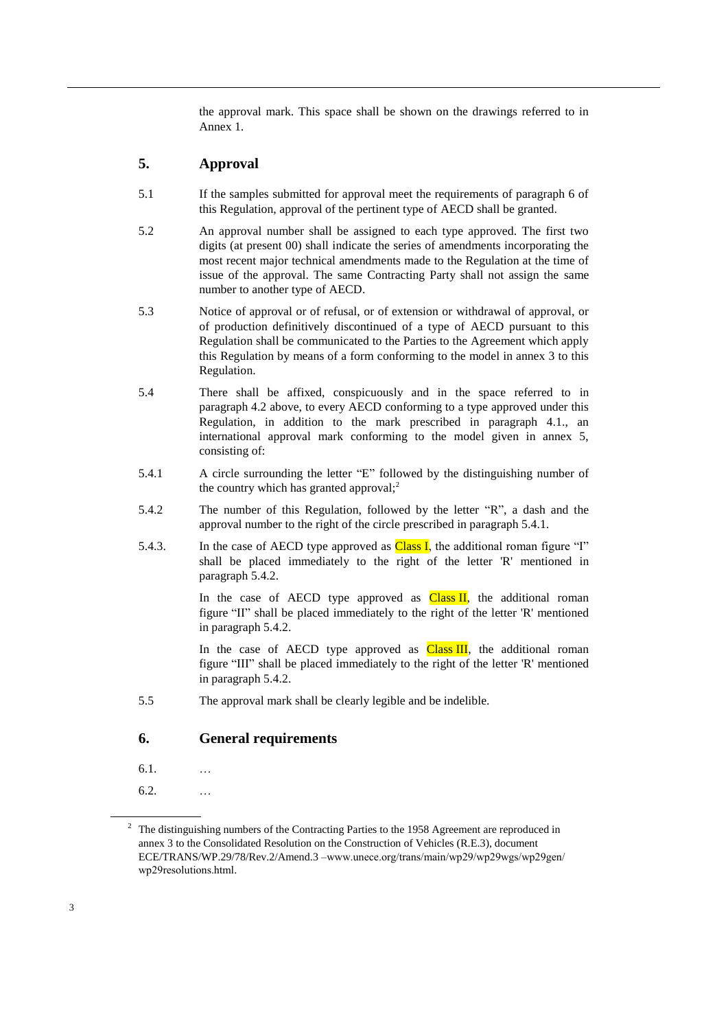the approval mark. This space shall be shown on the drawings referred to in Annex 1.

## **5. Approval**

- 5.1 If the samples submitted for approval meet the requirements of paragraph 6 of this Regulation, approval of the pertinent type of AECD shall be granted.
- 5.2 An approval number shall be assigned to each type approved. The first two digits (at present 00) shall indicate the series of amendments incorporating the most recent major technical amendments made to the Regulation at the time of issue of the approval. The same Contracting Party shall not assign the same number to another type of AECD.
- 5.3 Notice of approval or of refusal, or of extension or withdrawal of approval, or of production definitively discontinued of a type of AECD pursuant to this Regulation shall be communicated to the Parties to the Agreement which apply this Regulation by means of a form conforming to the model in annex 3 to this Regulation.
- 5.4 There shall be affixed, conspicuously and in the space referred to in paragraph 4.2 above, to every AECD conforming to a type approved under this Regulation, in addition to the mark prescribed in paragraph 4.1., an international approval mark conforming to the model given in annex 5, consisting of:
- 5.4.1 A circle surrounding the letter "E" followed by the distinguishing number of the country which has granted approval; $<sup>2</sup>$ </sup>
- 5.4.2 The number of this Regulation, followed by the letter "R", a dash and the approval number to the right of the circle prescribed in paragraph 5.4.1.
- 5.4.3. In the case of AECD type approved as  $Class I$ , the additional roman figure "I" shall be placed immediately to the right of the letter 'R' mentioned in paragraph 5.4.2.

In the case of AECD type approved as  $Class II$ , the additional roman figure "II" shall be placed immediately to the right of the letter 'R' mentioned in paragraph 5.4.2.

In the case of AECD type approved as  $Class III$ , the additional roman figure "III" shall be placed immediately to the right of the letter 'R' mentioned in paragraph 5.4.2.

5.5 The approval mark shall be clearly legible and be indelible.

## **6. General requirements**

- 6.1. …
- 6.2. …

<sup>&</sup>lt;sup>2</sup> The distinguishing numbers of the Contracting Parties to the 1958 Agreement are reproduced in annex 3 to the Consolidated Resolution on the Construction of Vehicles (R.E.3), document ECE/TRANS/WP.29/78/Rev.2/Amend.3 [–www.uneсe.оrg/trаns/mаin/wp29/wp29wgs/wp29gen/](http://www.unece.org/trans/main/wp29/wp29wgs/wp29gen/wp29resolutions.html)  [wp29resоlutiоns.html.](http://www.unece.org/trans/main/wp29/wp29wgs/wp29gen/wp29resolutions.html)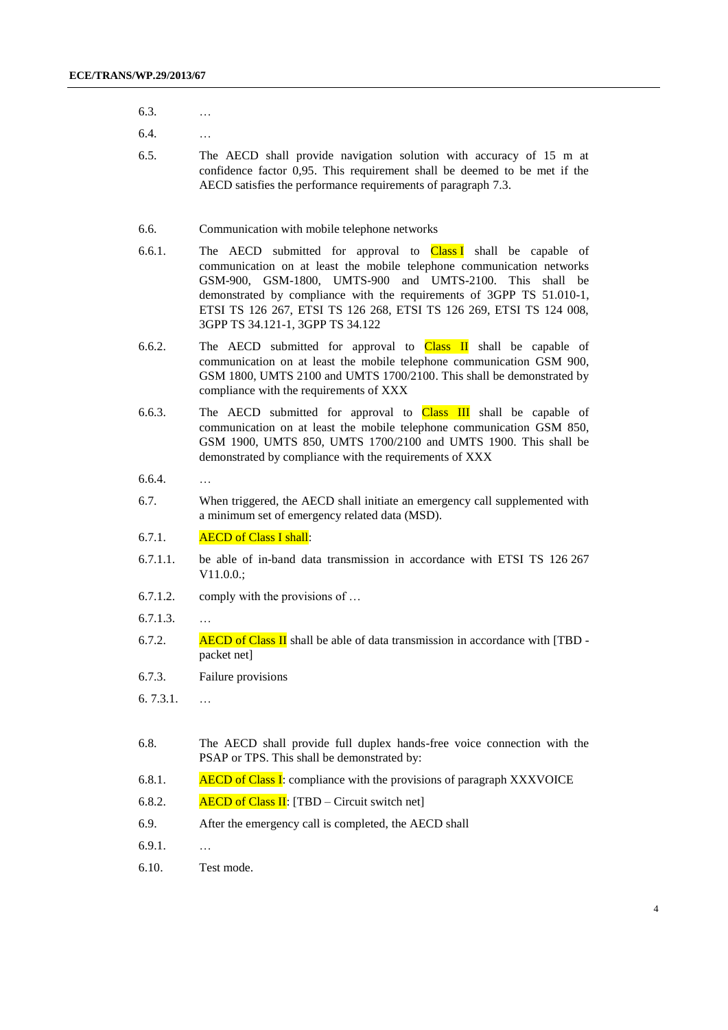- 6.3. …
- 6.4. …
- 6.5. The AECD shall provide navigation solution with accuracy of 15 m at confidence factor 0,95. This requirement shall be deemed to be met if the AECD satisfies the performance requirements of paragraph 7.3.
- 6.6. Communication with mobile telephone networks
- 6.6.1. The AECD submitted for approval to  $Class I$  shall be capable of communication on at least the mobile telephone communication networks GSM-900, GSM-1800, UMTS-900 and UMTS-2100. This shall be demonstrated by compliance with the requirements of 3GPP TS 51.010-1, ETSI TS 126 267, ETSI TS 126 268, ETSI TS 126 269, ETSI TS 124 008, 3GPP TS 34.121-1, 3GPP TS 34.122
- 6.6.2. The AECD submitted for approval to Class II shall be capable of communication on at least the mobile telephone communication GSM 900, GSM 1800, UMTS 2100 and UMTS 1700/2100. This shall be demonstrated by compliance with the requirements of XXX
- 6.6.3. The AECD submitted for approval to  $Class III$  shall be capable of communication on at least the mobile telephone communication GSM 850, GSM 1900, UMTS 850, UMTS 1700/2100 and UMTS 1900. This shall be demonstrated by compliance with the requirements of XXX
- 6.6.4. …
- 6.7. When triggered, the AECD shall initiate an emergency call supplemented with a minimum set of emergency related data (MSD).
- 6.7.1. AECD of Class I shall:
- 6.7.1.1. be able of in-band data transmission in accordance with ETSI TS 126 267 V11.0.0.;
- 6.7.1.2. comply with the provisions of …
- 6.7.1.3. …
- 6.7.2. **AECD of Class II** shall be able of data transmission in accordance with  $[TBD$ packet net]
- 6.7.3. Failure provisions
- 6. 7.3.1. …
- 6.8. The AECD shall provide full duplex hands-free voice connection with the PSAP or TPS. This shall be demonstrated by:
- 6.8.1. AECD of Class I: compliance with the provisions of paragraph XXXVOICE
- 6.8.2. AECD of Class II:  $[TBD Circuit switch net]$
- 6.9. After the emergency call is completed, the AECD shall
- 6.9.1. …
- 6.10. Test mode.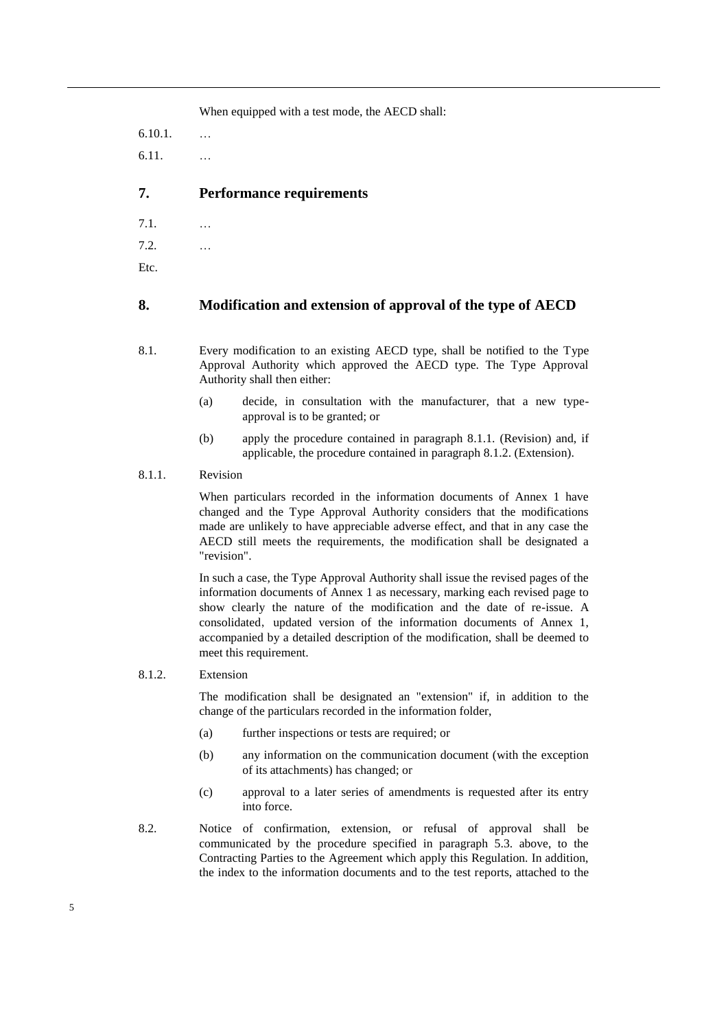When equipped with a test mode, the AECD shall:

6.10.1. … 6.11. …

## **7. Performance requirements**

- 7.1. …
- 7.2. …

Etc.

## **8. Modification and extension of approval of the type of AECD**

- 8.1. Every modification to an existing AECD type, shall be notified to the Type Approval Authority which approved the AECD type. The Type Approval Authority shall then either:
	- (a) decide, in consultation with the manufacturer, that a new typeapproval is to be granted; or
	- (b) apply the procedure contained in paragraph 8.1.1. (Revision) and, if applicable, the procedure contained in paragraph 8.1.2. (Extension).

## 8.1.1. Revision

When particulars recorded in the information documents of Annex 1 have changed and the Type Approval Authority considers that the modifications made are unlikely to have appreciable adverse effect, and that in any case the AECD still meets the requirements, the modification shall be designated a "revision".

In such a case, the Type Approval Authority shall issue the revised pages of the information documents of Annex 1 as necessary, marking each revised page to show clearly the nature of the modification and the date of re-issue. A consolidated, updated version of the information documents of Annex 1, accompanied by a detailed description of the modification, shall be deemed to meet this requirement.

### 8.1.2. Extension

The modification shall be designated an "extension" if, in addition to the change of the particulars recorded in the information folder,

- (a) further inspections or tests are required; or
- (b) any information on the communication document (with the exception of its attachments) has changed; or
- (c) approval to a later series of amendments is requested after its entry into force.
- 8.2. Notice of confirmation, extension, or refusal of approval shall be communicated by the procedure specified in paragraph 5.3. above, to the Contracting Parties to the Agreement which apply this Regulation. In addition, the index to the information documents and to the test reports, attached to the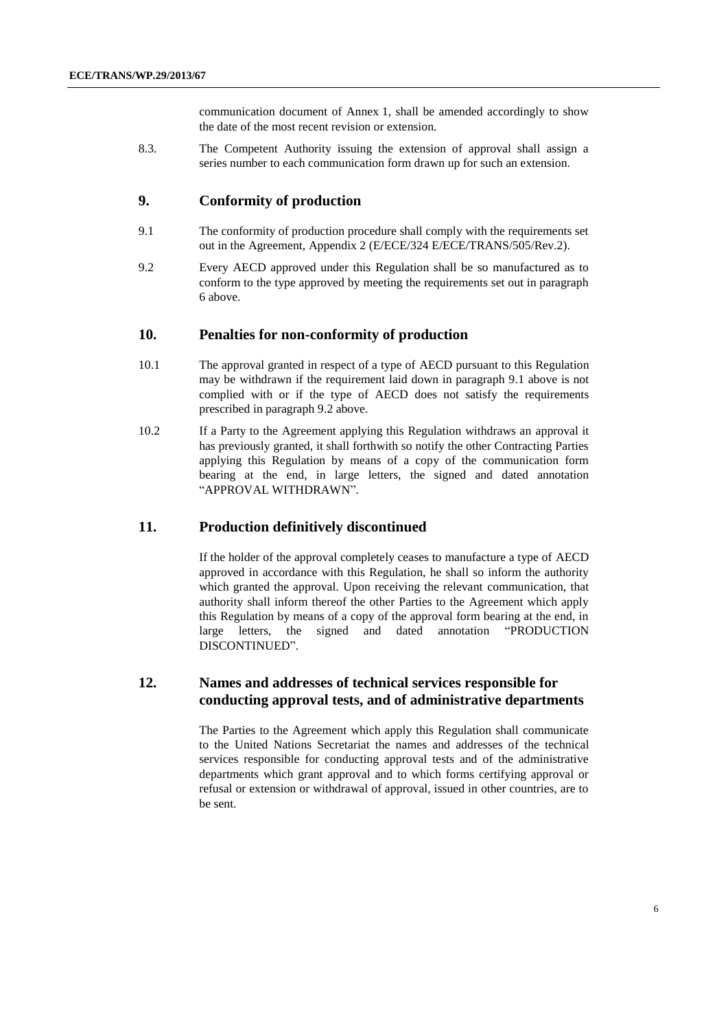communication document of Annex 1, shall be amended accordingly to show the date of the most recent revision or extension.

8.3. The Competent Authority issuing the extension of approval shall assign a series number to each communication form drawn up for such an extension.

## **9. Conformity of production**

- 9.1 The conformity of production procedure shall comply with the requirements set out in the Agreement, Appendix 2 (E/ECE/324 E/ECE/TRANS/505/Rev.2).
- 9.2 Every AECD approved under this Regulation shall be so manufactured as to conform to the type approved by meeting the requirements set out in paragraph 6 above.

#### **10. Penalties for non-conformity of production**

- 10.1 The approval granted in respect of a type of AECD pursuant to this Regulation may be withdrawn if the requirement laid down in paragraph 9.1 above is not complied with or if the type of AECD does not satisfy the requirements prescribed in paragraph 9.2 above.
- 10.2 If a Party to the Agreement applying this Regulation withdraws an approval it has previously granted, it shall forthwith so notify the other Contracting Parties applying this Regulation by means of a copy of the communication form bearing at the end, in large letters, the signed and dated annotation "APPROVAL WITHDRAWN".

#### **11. Production definitively discontinued**

If the holder of the approval completely ceases to manufacture a type of AECD approved in accordance with this Regulation, he shall so inform the authority which granted the approval. Upon receiving the relevant communication, that authority shall inform thereof the other Parties to the Agreement which apply this Regulation by means of a copy of the approval form bearing at the end, in large letters, the signed and dated annotation "PRODUCTION DISCONTINUED".

## **12. Names and addresses of technical services responsible for conducting approval tests, and of administrative departments**

The Parties to the Agreement which apply this Regulation shall communicate to the United Nations Secretariat the names and addresses of the technical services responsible for conducting approval tests and of the administrative departments which grant approval and to which forms certifying approval or refusal or extension or withdrawal of approval, issued in other countries, are to be sent.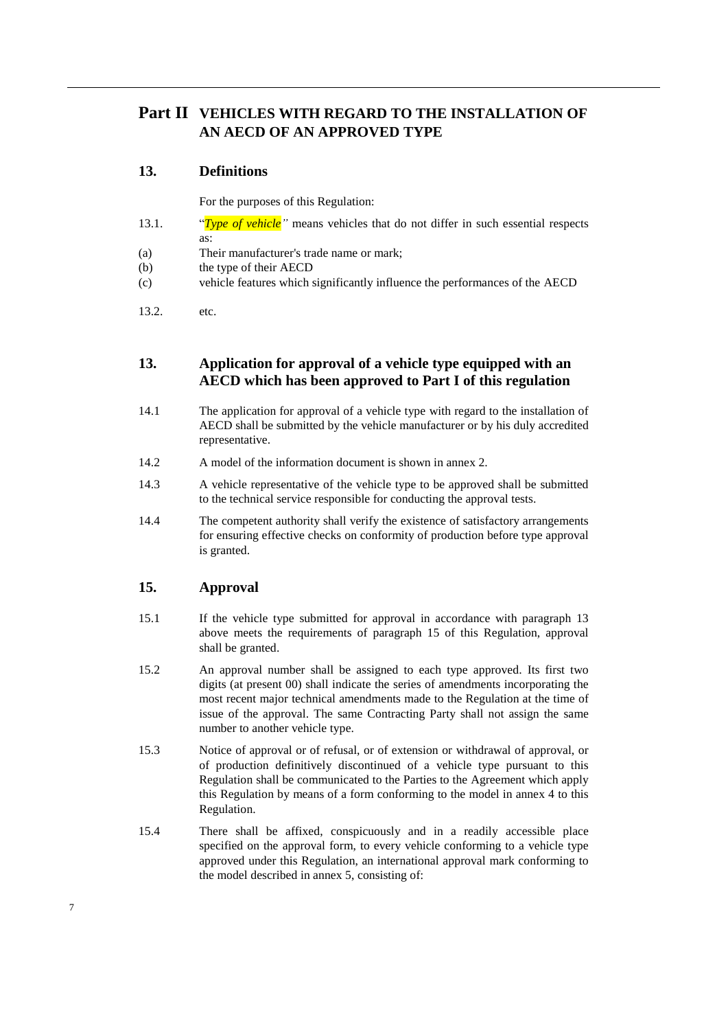# **Part II VEHICLES WITH REGARD TO THE INSTALLATION OF AN AECD OF AN APPROVED TYPE**

## **13. Definitions**

For the purposes of this Regulation:

- 13.1. "*Type of vehicle"* means vehicles that do not differ in such essential respects as:
- (a) Their manufacturer's trade name or mark;
- (b) the type of their AECD
- (c) vehicle features which significantly influence the performances of the AECD
- 13.2. etc.

## **13. Application for approval of a vehicle type equipped with an AECD which has been approved to Part I of this regulation**

- 14.1 The application for approval of a vehicle type with regard to the installation of AECD shall be submitted by the vehicle manufacturer or by his duly accredited representative.
- 14.2 A model of the information document is shown in annex 2.
- 14.3 A vehicle representative of the vehicle type to be approved shall be submitted to the technical service responsible for conducting the approval tests.
- 14.4 The competent authority shall verify the existence of satisfactory arrangements for ensuring effective checks on conformity of production before type approval is granted.

## **15. Approval**

- 15.1 If the vehicle type submitted for approval in accordance with paragraph 13 above meets the requirements of paragraph 15 of this Regulation, approval shall be granted.
- 15.2 An approval number shall be assigned to each type approved. Its first two digits (at present 00) shall indicate the series of amendments incorporating the most recent major technical amendments made to the Regulation at the time of issue of the approval. The same Contracting Party shall not assign the same number to another vehicle type.
- 15.3 Notice of approval or of refusal, or of extension or withdrawal of approval, or of production definitively discontinued of a vehicle type pursuant to this Regulation shall be communicated to the Parties to the Agreement which apply this Regulation by means of a form conforming to the model in annex 4 to this Regulation.
- 15.4 There shall be affixed, conspicuously and in a readily accessible place specified on the approval form, to every vehicle conforming to a vehicle type approved under this Regulation, an international approval mark conforming to the model described in annex 5, consisting of: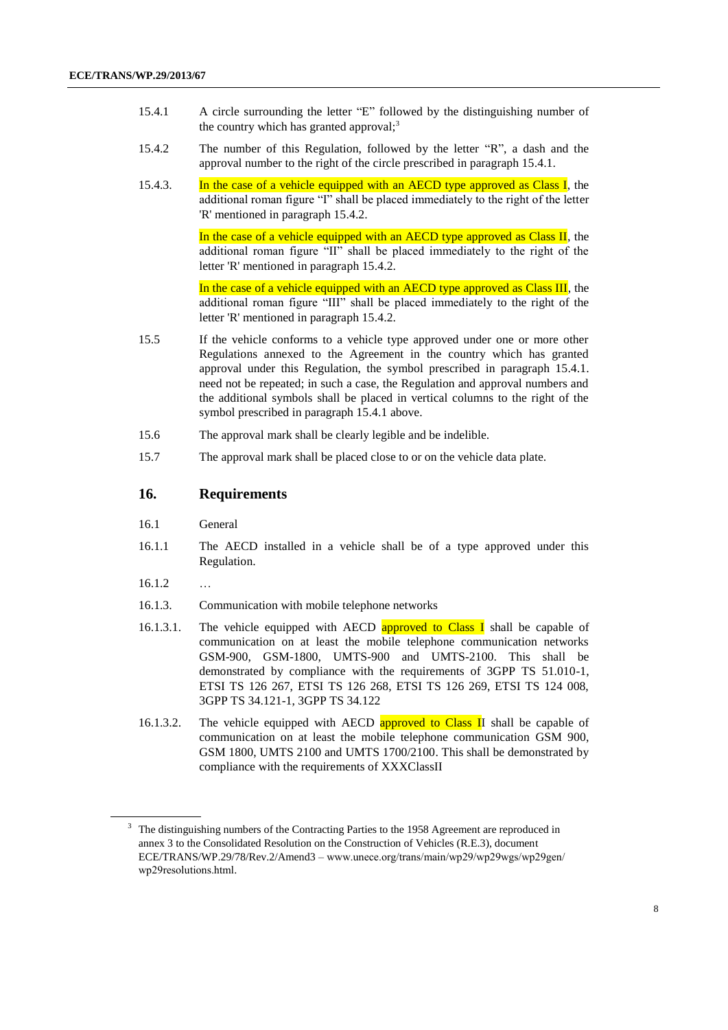- 15.4.1 A circle surrounding the letter "E" followed by the distinguishing number of the country which has granted approval; $3$
- 15.4.2 The number of this Regulation, followed by the letter "R", a dash and the approval number to the right of the circle prescribed in paragraph 15.4.1.
- 15.4.3. In the case of a vehicle equipped with an AECD type approved as Class I, the additional roman figure "I" shall be placed immediately to the right of the letter 'R' mentioned in paragraph 15.4.2.

In the case of a vehicle equipped with an AECD type approved as Class II, the additional roman figure "II" shall be placed immediately to the right of the letter 'R' mentioned in paragraph 15.4.2.

In the case of a vehicle equipped with an AECD type approved as Class III, the additional roman figure "III" shall be placed immediately to the right of the letter 'R' mentioned in paragraph 15.4.2.

- 15.5 If the vehicle conforms to a vehicle type approved under one or more other Regulations annexed to the Agreement in the country which has granted approval under this Regulation, the symbol prescribed in paragraph 15.4.1. need not be repeated; in such a case, the Regulation and approval numbers and the additional symbols shall be placed in vertical columns to the right of the symbol prescribed in paragraph 15.4.1 above.
- 15.6 The approval mark shall be clearly legible and be indelible.
- 15.7 The approval mark shall be placed close to or on the vehicle data plate.

## **16. Requirements**

- 16.1 General
- 16.1.1 The AECD installed in a vehicle shall be of a type approved under this Regulation.
- $16.1.2$  …
- 16.1.3. Communication with mobile telephone networks
- 16.1.3.1. The vehicle equipped with AECD approved to Class I shall be capable of communication on at least the mobile telephone communication networks GSM-900, GSM-1800, UMTS-900 and UMTS-2100. This shall be demonstrated by compliance with the requirements of 3GPP TS 51.010-1, ETSI TS 126 267, ETSI TS 126 268, ETSI TS 126 269, ETSI TS 124 008, 3GPP TS 34.121-1, 3GPP TS 34.122
- 16.1.3.2. The vehicle equipped with AECD approved to Class II shall be capable of communication on at least the mobile telephone communication GSM 900, GSM 1800, UMTS 2100 and UMTS 1700/2100. This shall be demonstrated by compliance with the requirements of XXXClassII

<sup>&</sup>lt;sup>3</sup> The distinguishing numbers of the Contracting Parties to the 1958 Agreement are reproduced in annex 3 to the Consolidated Resolution on the Construction of Vehicles (R.E.3), document ECE/TRANS/WP.29/78/Rev.2/Amend3 – [www.uneсe.оrg/trаns/mаin/wp29/wp29wgs/wp29gen/](http://www.unece.org/trans/main/wp29/wp29wgs/wp29gen/wp29resolutions.html) [wp29resоlutiоns.html.](http://www.unece.org/trans/main/wp29/wp29wgs/wp29gen/wp29resolutions.html)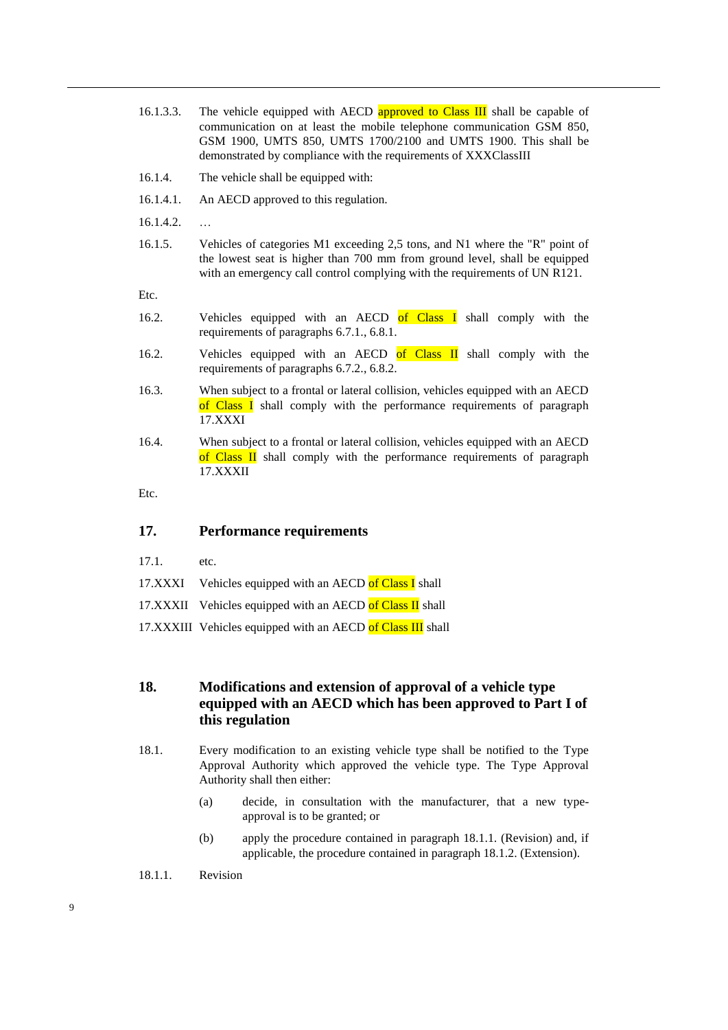- 16.1.3.3. The vehicle equipped with AECD approved to Class III shall be capable of communication on at least the mobile telephone communication GSM 850, GSM 1900, UMTS 850, UMTS 1700/2100 and UMTS 1900. This shall be demonstrated by compliance with the requirements of XXXClassIII
- 16.1.4. The vehicle shall be equipped with:
- 16.1.4.1. An AECD approved to this regulation.
- $16.1.4.2.$  …
- 16.1.5. Vehicles of categories M1 exceeding 2,5 tons, and N1 where the "R" point of the lowest seat is higher than 700 mm from ground level, shall be equipped with an emergency call control complying with the requirements of UN R121.

Etc.

- 16.2. Vehicles equipped with an AECD of Class I shall comply with the requirements of paragraphs 6.7.1., 6.8.1.
- 16.2. Vehicles equipped with an AECD of Class II shall comply with the requirements of paragraphs 6.7.2., 6.8.2.
- 16.3. When subject to a frontal or lateral collision, vehicles equipped with an AECD of Class I shall comply with the performance requirements of paragraph 17.XXXI
- 16.4. When subject to a frontal or lateral collision, vehicles equipped with an AECD of Class  $\overline{II}$  shall comply with the performance requirements of paragraph 17.XXXII

Etc.

## **17. Performance requirements**

- 17.1. etc.
- 17.XXXI Vehicles equipped with an AECD of Class I shall
- 17.XXXII Vehicles equipped with an AECD of Class II shall
- 17.XXXIII Vehicles equipped with an AECD of Class III shall

## **18. Modifications and extension of approval of a vehicle type equipped with an AECD which has been approved to Part I of this regulation**

- 18.1. Every modification to an existing vehicle type shall be notified to the Type Approval Authority which approved the vehicle type. The Type Approval Authority shall then either:
	- (a) decide, in consultation with the manufacturer, that a new typeapproval is to be granted; or
	- (b) apply the procedure contained in paragraph 18.1.1. (Revision) and, if applicable, the procedure contained in paragraph 18.1.2. (Extension).
- 18.1.1. Revision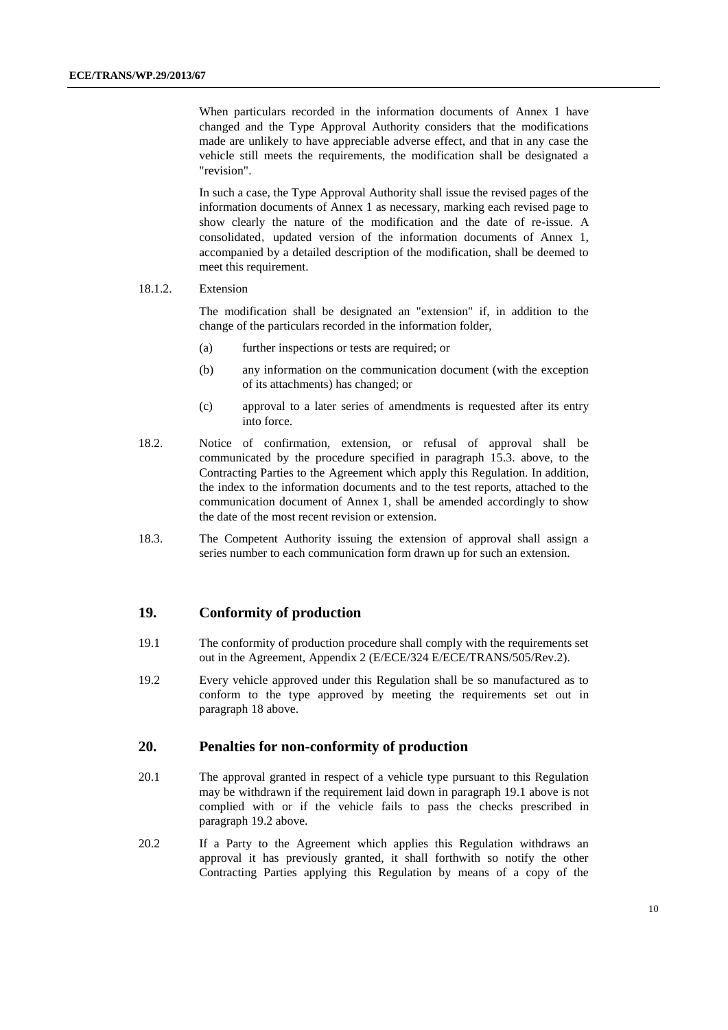When particulars recorded in the information documents of Annex 1 have changed and the Type Approval Authority considers that the modifications made are unlikely to have appreciable adverse effect, and that in any case the vehicle still meets the requirements, the modification shall be designated a "revision".

In such a case, the Type Approval Authority shall issue the revised pages of the information documents of Annex 1 as necessary, marking each revised page to show clearly the nature of the modification and the date of re-issue. A consolidated, updated version of the information documents of Annex 1, accompanied by a detailed description of the modification, shall be deemed to meet this requirement.

#### 18.1.2. Extension

The modification shall be designated an "extension" if, in addition to the change of the particulars recorded in the information folder,

- (a) further inspections or tests are required; or
- (b) any information on the communication document (with the exception of its attachments) has changed; or
- (c) approval to a later series of amendments is requested after its entry into force.
- 18.2. Notice of confirmation, extension, or refusal of approval shall be communicated by the procedure specified in paragraph 15.3. above, to the Contracting Parties to the Agreement which apply this Regulation. In addition, the index to the information documents and to the test reports, attached to the communication document of Annex 1, shall be amended accordingly to show the date of the most recent revision or extension.
- 18.3. The Competent Authority issuing the extension of approval shall assign a series number to each communication form drawn up for such an extension.

### **19. Conformity of production**

- 19.1 The conformity of production procedure shall comply with the requirements set out in the Agreement, Appendix 2 (E/ECE/324 E/ECE/TRANS/505/Rev.2).
- 19.2 Every vehicle approved under this Regulation shall be so manufactured as to conform to the type approved by meeting the requirements set out in paragraph 18 above.

### **20. Penalties for non-conformity of production**

- 20.1 The approval granted in respect of a vehicle type pursuant to this Regulation may be withdrawn if the requirement laid down in paragraph 19.1 above is not complied with or if the vehicle fails to pass the checks prescribed in paragraph 19.2 above.
- 20.2 If a Party to the Agreement which applies this Regulation withdraws an approval it has previously granted, it shall forthwith so notify the other Contracting Parties applying this Regulation by means of a copy of the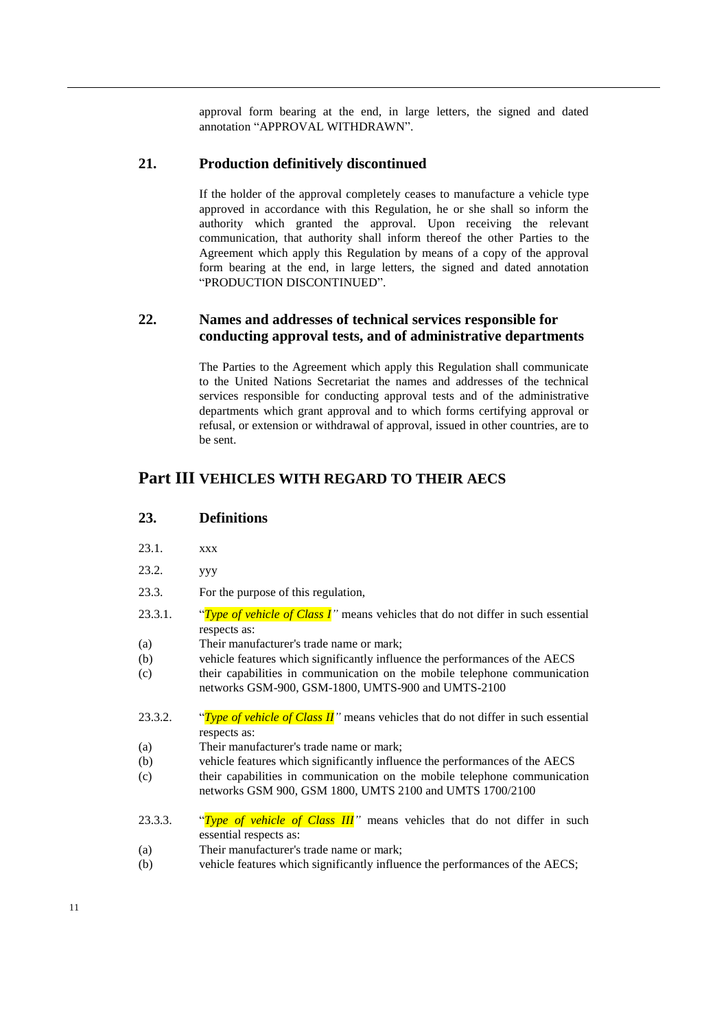approval form bearing at the end, in large letters, the signed and dated annotation "APPROVAL WITHDRAWN".

## **21. Production definitively discontinued**

If the holder of the approval completely ceases to manufacture a vehicle type approved in accordance with this Regulation, he or she shall so inform the authority which granted the approval. Upon receiving the relevant communication, that authority shall inform thereof the other Parties to the Agreement which apply this Regulation by means of a copy of the approval form bearing at the end, in large letters, the signed and dated annotation "PRODUCTION DISCONTINUED".

## **22. Names and addresses of technical services responsible for conducting approval tests, and of administrative departments**

The Parties to the Agreement which apply this Regulation shall communicate to the United Nations Secretariat the names and addresses of the technical services responsible for conducting approval tests and of the administrative departments which grant approval and to which forms certifying approval or refusal, or extension or withdrawal of approval, issued in other countries, are to be sent.

## **Part III VEHICLES WITH REGARD TO THEIR AECS**

## **23. Definitions**

- 23.1. xxx
- 23.2. yyy
- 23.3. For the purpose of this regulation,
- 23.3.1. "*Type of vehicle of Class I"* means vehicles that do not differ in such essential respects as:
- (a) Their manufacturer's trade name or mark;
- (b) vehicle features which significantly influence the performances of the AECS
- (c) their capabilities in communication on the mobile telephone communication networks GSM-900, GSM-1800, UMTS-900 and UMTS-2100
- 23.3.2. "*Type of vehicle of Class II*" means vehicles that do not differ in such essential respects as:
- (a) Their manufacturer's trade name or mark;
- (b) vehicle features which significantly influence the performances of the AECS
- (c) their capabilities in communication on the mobile telephone communication networks GSM 900, GSM 1800, UMTS 2100 and UMTS 1700/2100
- 23.3.3. "*Type of vehicle of Class III"* means vehicles that do not differ in such essential respects as:
- (a) Their manufacturer's trade name or mark;
- (b) vehicle features which significantly influence the performances of the AECS;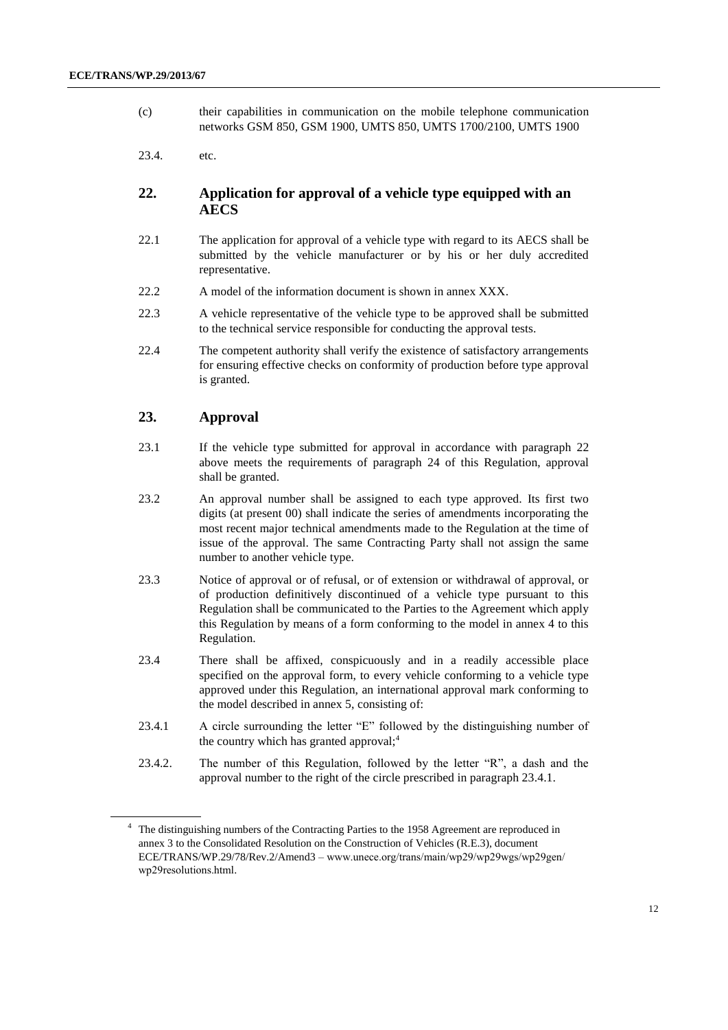- (c) their capabilities in communication on the mobile telephone communication networks GSM 850, GSM 1900, UMTS 850, UMTS 1700/2100, UMTS 1900
- 23.4. etc.

## **22. Application for approval of a vehicle type equipped with an AECS**

- 22.1 The application for approval of a vehicle type with regard to its AECS shall be submitted by the vehicle manufacturer or by his or her duly accredited representative.
- 22.2 A model of the information document is shown in annex XXX.
- 22.3 A vehicle representative of the vehicle type to be approved shall be submitted to the technical service responsible for conducting the approval tests.
- 22.4 The competent authority shall verify the existence of satisfactory arrangements for ensuring effective checks on conformity of production before type approval is granted.

## **23. Approval**

- 23.1 If the vehicle type submitted for approval in accordance with paragraph 22 above meets the requirements of paragraph 24 of this Regulation, approval shall be granted.
- 23.2 An approval number shall be assigned to each type approved. Its first two digits (at present 00) shall indicate the series of amendments incorporating the most recent major technical amendments made to the Regulation at the time of issue of the approval. The same Contracting Party shall not assign the same number to another vehicle type.
- 23.3 Notice of approval or of refusal, or of extension or withdrawal of approval, or of production definitively discontinued of a vehicle type pursuant to this Regulation shall be communicated to the Parties to the Agreement which apply this Regulation by means of a form conforming to the model in annex 4 to this Regulation.
- 23.4 There shall be affixed, conspicuously and in a readily accessible place specified on the approval form, to every vehicle conforming to a vehicle type approved under this Regulation, an international approval mark conforming to the model described in annex 5, consisting of:
- 23.4.1 A circle surrounding the letter "E" followed by the distinguishing number of the country which has granted approval; $<sup>4</sup>$ </sup>
- 23.4.2. The number of this Regulation, followed by the letter "R", a dash and the approval number to the right of the circle prescribed in paragraph 23.4.1.

<sup>&</sup>lt;sup>4</sup> The distinguishing numbers of the Contracting Parties to the 1958 Agreement are reproduced in annex 3 to the Consolidated Resolution on the Construction of Vehicles (R.E.3), document ECE/TRANS/WP.29/78/Rev.2/Amend3 – [www.uneсe.оrg/trаns/mаin/wp29/wp29wgs/wp29gen/](http://www.unece.org/trans/main/wp29/wp29wgs/wp29gen/wp29resolutions.html) [wp29resоlutiоns.html.](http://www.unece.org/trans/main/wp29/wp29wgs/wp29gen/wp29resolutions.html)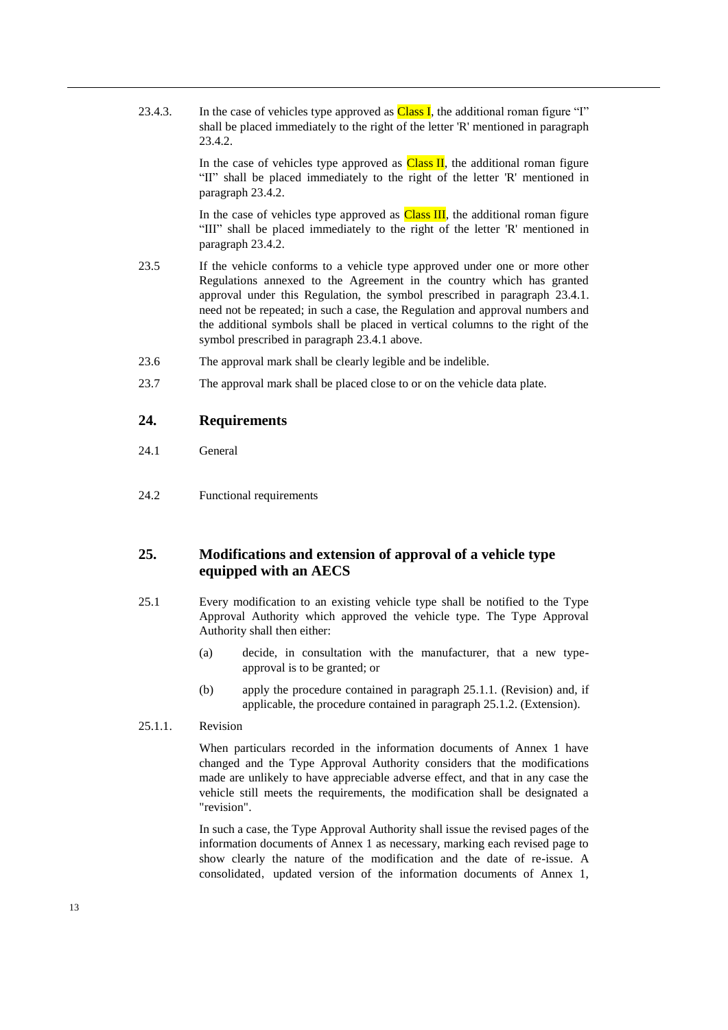23.4.3. In the case of vehicles type approved as  $Class I$ , the additional roman figure "I" shall be placed immediately to the right of the letter 'R' mentioned in paragraph 23.4.2.

> In the case of vehicles type approved as  $Class II$ , the additional roman figure "II" shall be placed immediately to the right of the letter 'R' mentioned in paragraph 23.4.2.

> In the case of vehicles type approved as  $Class III$ , the additional roman figure "III" shall be placed immediately to the right of the letter 'R' mentioned in paragraph 23.4.2.

- 23.5 If the vehicle conforms to a vehicle type approved under one or more other Regulations annexed to the Agreement in the country which has granted approval under this Regulation, the symbol prescribed in paragraph 23.4.1. need not be repeated; in such a case, the Regulation and approval numbers and the additional symbols shall be placed in vertical columns to the right of the symbol prescribed in paragraph 23.4.1 above.
- 23.6 The approval mark shall be clearly legible and be indelible.
- 23.7 The approval mark shall be placed close to or on the vehicle data plate.

### **24. Requirements**

- 24.1 General
- 24.2 Functional requirements

## **25. Modifications and extension of approval of a vehicle type equipped with an AECS**

- 25.1 Every modification to an existing vehicle type shall be notified to the Type Approval Authority which approved the vehicle type. The Type Approval Authority shall then either:
	- (a) decide, in consultation with the manufacturer, that a new typeapproval is to be granted; or
	- (b) apply the procedure contained in paragraph 25.1.1. (Revision) and, if applicable, the procedure contained in paragraph 25.1.2. (Extension).
- 25.1.1. Revision

When particulars recorded in the information documents of Annex 1 have changed and the Type Approval Authority considers that the modifications made are unlikely to have appreciable adverse effect, and that in any case the vehicle still meets the requirements, the modification shall be designated a "revision".

In such a case, the Type Approval Authority shall issue the revised pages of the information documents of Annex 1 as necessary, marking each revised page to show clearly the nature of the modification and the date of re-issue. A consolidated, updated version of the information documents of Annex 1,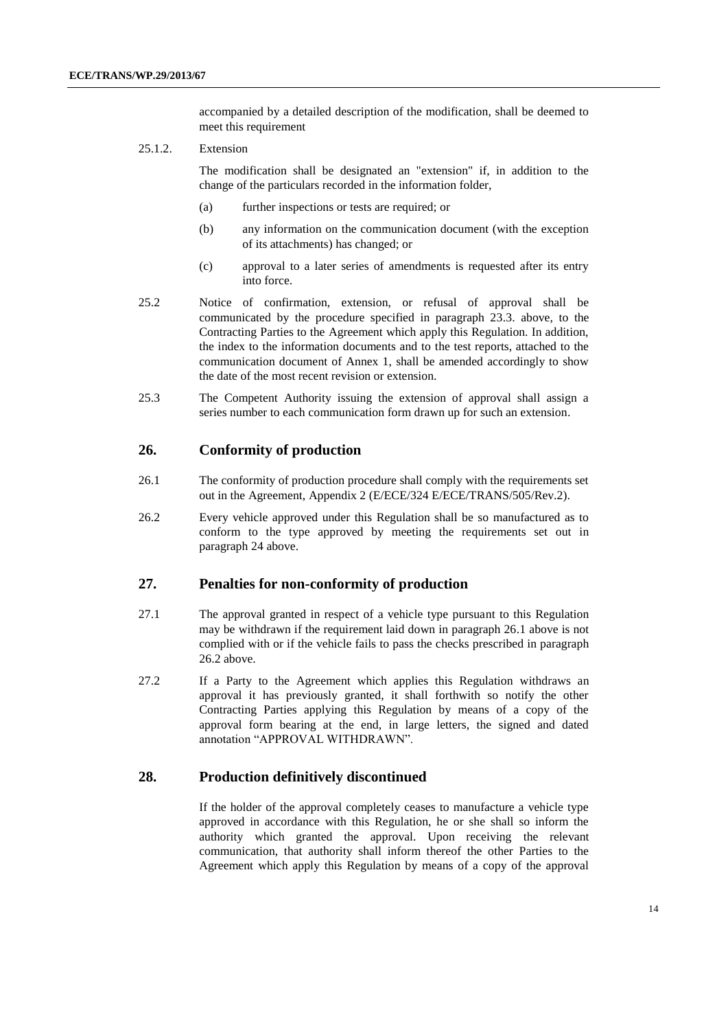accompanied by a detailed description of the modification, shall be deemed to meet this requirement

25.1.2. Extension

The modification shall be designated an "extension" if, in addition to the change of the particulars recorded in the information folder,

- (a) further inspections or tests are required; or
- (b) any information on the communication document (with the exception of its attachments) has changed; or
- (c) approval to a later series of amendments is requested after its entry into force.
- 25.2 Notice of confirmation, extension, or refusal of approval shall be communicated by the procedure specified in paragraph 23.3. above, to the Contracting Parties to the Agreement which apply this Regulation. In addition, the index to the information documents and to the test reports, attached to the communication document of Annex 1, shall be amended accordingly to show the date of the most recent revision or extension.
- 25.3 The Competent Authority issuing the extension of approval shall assign a series number to each communication form drawn up for such an extension.

## **26. Conformity of production**

- 26.1 The conformity of production procedure shall comply with the requirements set out in the Agreement, Appendix 2 (E/ECE/324 E/ECE/TRANS/505/Rev.2).
- 26.2 Every vehicle approved under this Regulation shall be so manufactured as to conform to the type approved by meeting the requirements set out in paragraph 24 above.

#### **27. Penalties for non-conformity of production**

- 27.1 The approval granted in respect of a vehicle type pursuant to this Regulation may be withdrawn if the requirement laid down in paragraph 26.1 above is not complied with or if the vehicle fails to pass the checks prescribed in paragraph 26.2 above.
- 27.2 If a Party to the Agreement which applies this Regulation withdraws an approval it has previously granted, it shall forthwith so notify the other Contracting Parties applying this Regulation by means of a copy of the approval form bearing at the end, in large letters, the signed and dated annotation "APPROVAL WITHDRAWN".

#### **28. Production definitively discontinued**

If the holder of the approval completely ceases to manufacture a vehicle type approved in accordance with this Regulation, he or she shall so inform the authority which granted the approval. Upon receiving the relevant communication, that authority shall inform thereof the other Parties to the Agreement which apply this Regulation by means of a copy of the approval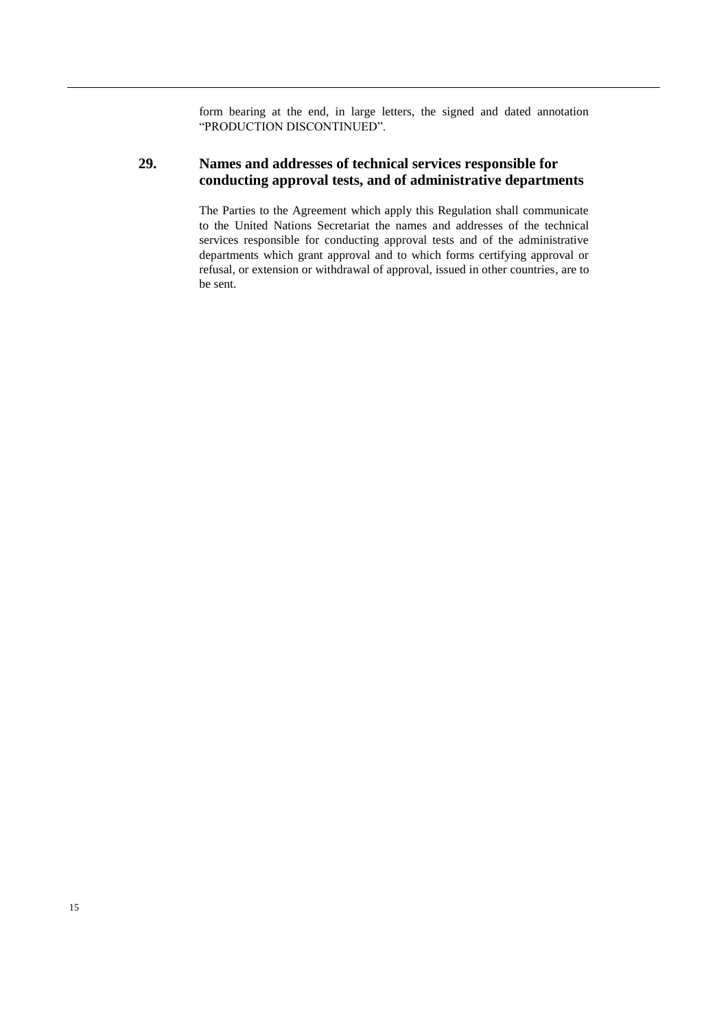form bearing at the end, in large letters, the signed and dated annotation "PRODUCTION DISCONTINUED".

## **29. Names and addresses of technical services responsible for conducting approval tests, and of administrative departments**

The Parties to the Agreement which apply this Regulation shall communicate to the United Nations Secretariat the names and addresses of the technical services responsible for conducting approval tests and of the administrative departments which grant approval and to which forms certifying approval or refusal, or extension or withdrawal of approval, issued in other countries, are to be sent.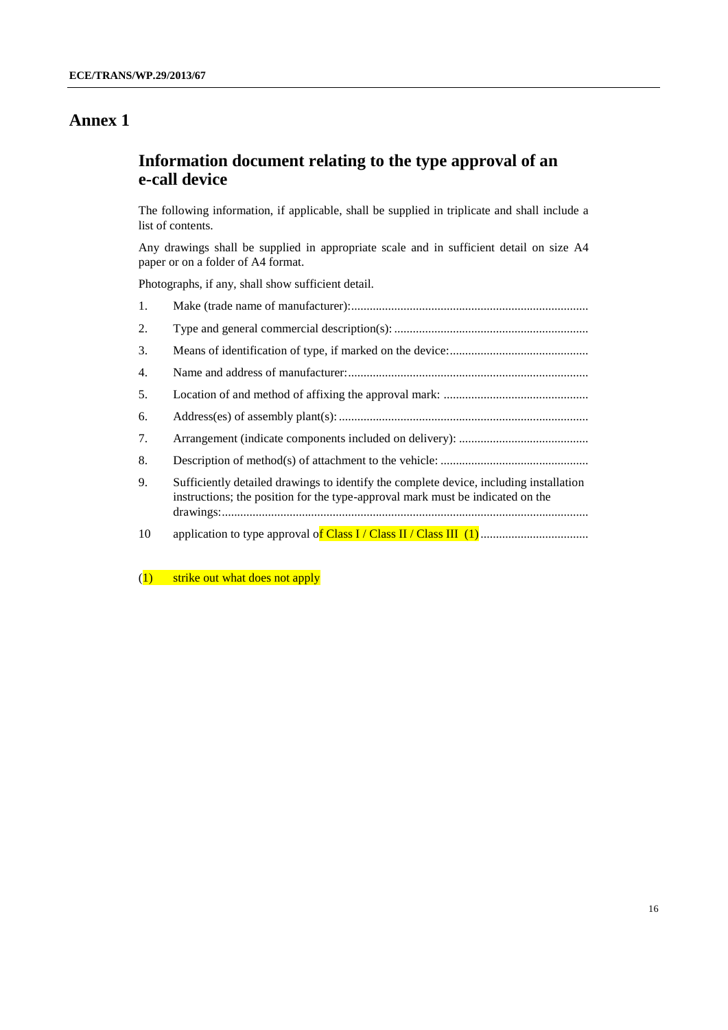# **Information document relating to the type approval of an e-call device**

The following information, if applicable, shall be supplied in triplicate and shall include a list of contents.

Any drawings shall be supplied in appropriate scale and in sufficient detail on size A4 paper or on a folder of A4 format.

Photographs, if any, shall show sufficient detail.

| 1. |                                                                                                                                                                          |
|----|--------------------------------------------------------------------------------------------------------------------------------------------------------------------------|
| 2. |                                                                                                                                                                          |
| 3. |                                                                                                                                                                          |
| 4. |                                                                                                                                                                          |
| 5. |                                                                                                                                                                          |
| 6. |                                                                                                                                                                          |
| 7. |                                                                                                                                                                          |
| 8. |                                                                                                                                                                          |
| 9. | Sufficiently detailed drawings to identify the complete device, including installation<br>instructions; the position for the type-approval mark must be indicated on the |
| 10 |                                                                                                                                                                          |

(1) strike out what does not apply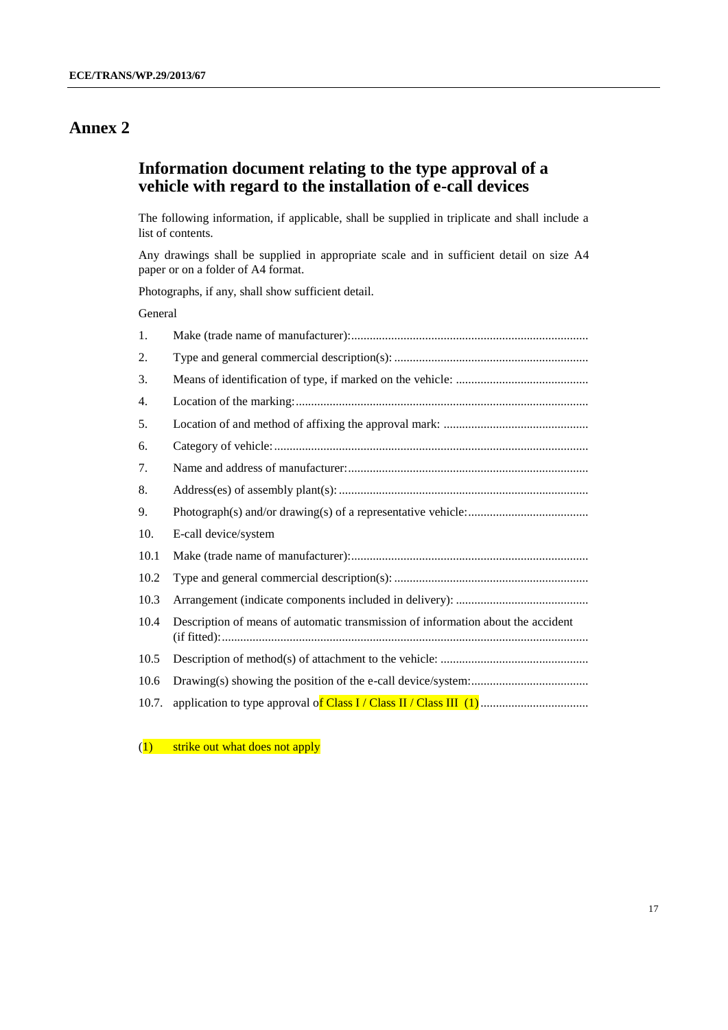## **Information document relating to the type approval of a vehicle with regard to the installation of e-call devices**

The following information, if applicable, shall be supplied in triplicate and shall include a list of contents.

Any drawings shall be supplied in appropriate scale and in sufficient detail on size A4 paper or on a folder of A4 format.

Photographs, if any, shall show sufficient detail.

### General

| 1.   |                                                                                  |
|------|----------------------------------------------------------------------------------|
| 2.   |                                                                                  |
| 3.   |                                                                                  |
| 4.   |                                                                                  |
| 5.   |                                                                                  |
| 6.   |                                                                                  |
| 7.   |                                                                                  |
| 8.   |                                                                                  |
| 9.   |                                                                                  |
| 10.  | E-call device/system                                                             |
| 10.1 |                                                                                  |
| 10.2 |                                                                                  |
|      |                                                                                  |
| 10.3 |                                                                                  |
| 10.4 | Description of means of automatic transmission of information about the accident |
| 10.5 |                                                                                  |
| 10.6 |                                                                                  |

(1) strike out what does not apply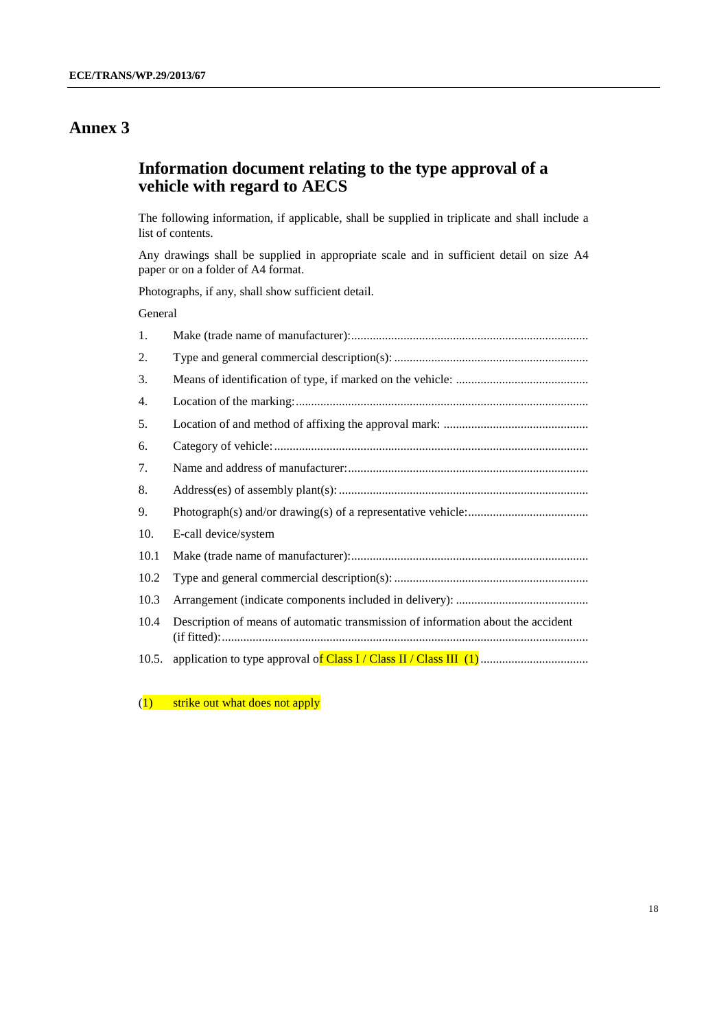# **Information document relating to the type approval of a vehicle with regard to AECS**

The following information, if applicable, shall be supplied in triplicate and shall include a list of contents.

Any drawings shall be supplied in appropriate scale and in sufficient detail on size A4 paper or on a folder of A4 format.

Photographs, if any, shall show sufficient detail.

#### General

| 1.    |                                                                                  |
|-------|----------------------------------------------------------------------------------|
| 2.    |                                                                                  |
| 3.    |                                                                                  |
| 4.    |                                                                                  |
| 5.    |                                                                                  |
| 6.    |                                                                                  |
| 7.    |                                                                                  |
| 8.    |                                                                                  |
| 9.    |                                                                                  |
| 10.   | E-call device/system                                                             |
| 10.1  |                                                                                  |
| 10.2  |                                                                                  |
| 10.3  |                                                                                  |
| 10.4  | Description of means of automatic transmission of information about the accident |
| 10.5. |                                                                                  |

(1) strike out what does not apply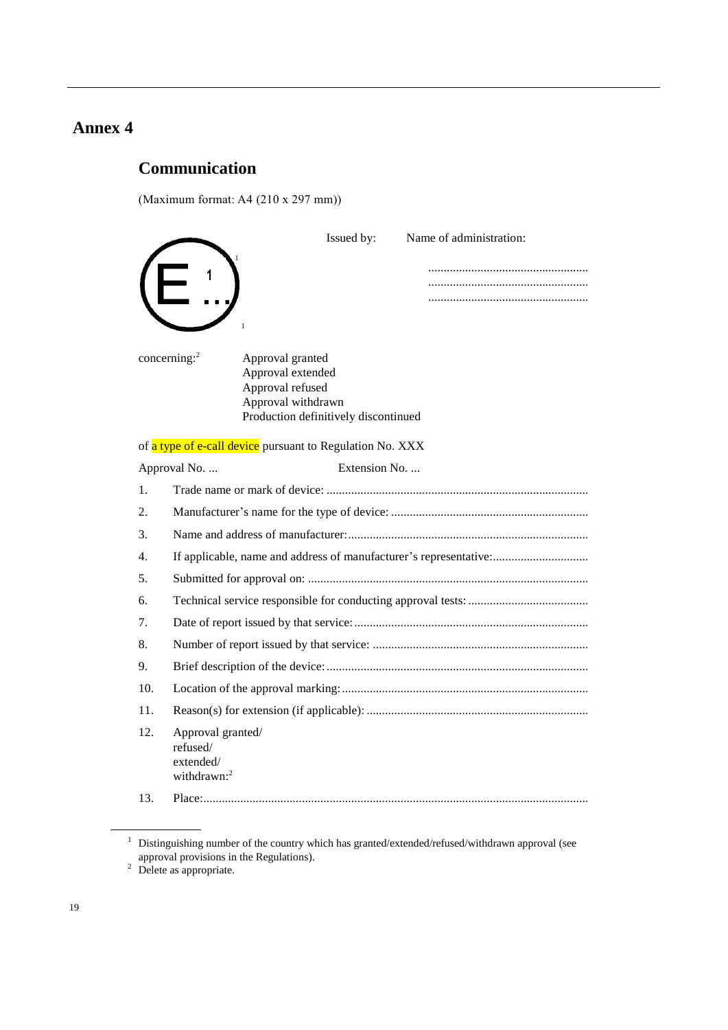# **Communication**

(Maximum format: A4 (210 x 297 mm))

|     | Issued by:<br>Name of administration:                                                                                                      |
|-----|--------------------------------------------------------------------------------------------------------------------------------------------|
|     |                                                                                                                                            |
|     |                                                                                                                                            |
|     |                                                                                                                                            |
|     |                                                                                                                                            |
|     | concerning: $2$<br>Approval granted<br>Approval extended<br>Approval refused<br>Approval withdrawn<br>Production definitively discontinued |
|     | of a type of e-call device pursuant to Regulation No. XXX                                                                                  |
|     | Extension No.<br>Approval No.                                                                                                              |
| 1.  |                                                                                                                                            |
| 2.  |                                                                                                                                            |
| 3.  |                                                                                                                                            |
| 4.  | If applicable, name and address of manufacturer's representative:                                                                          |
| 5.  |                                                                                                                                            |
| 6.  |                                                                                                                                            |
| 7.  |                                                                                                                                            |
| 8.  |                                                                                                                                            |
| 9.  |                                                                                                                                            |
| 10. |                                                                                                                                            |
| 11. |                                                                                                                                            |
| 12. | Approval granted/<br>refused/<br>extended/<br>withdrawn: $2$                                                                               |
| 13. |                                                                                                                                            |

 $1$  Distinguishing number of the country which has granted/extended/refused/withdrawn approval (see approval provisions in the Regulations).

 $2$  Delete as appropriate.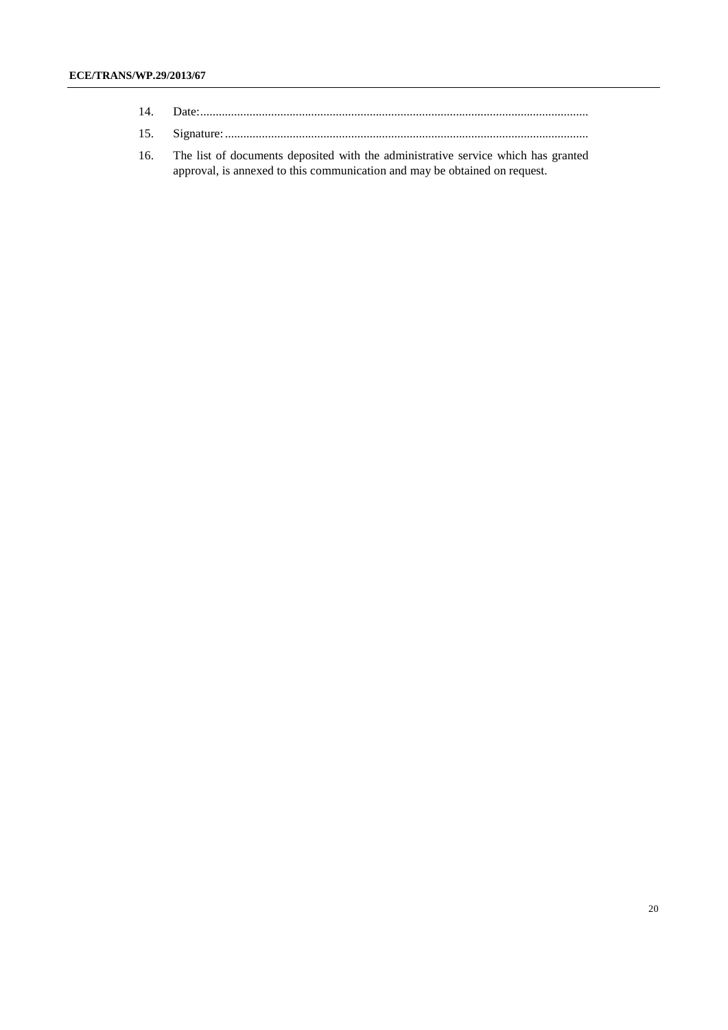| 14. |  |
|-----|--|
|     |  |

- 15. Signature:......................................................................................................................
- 16. The list of documents deposited with the administrative service which has granted approval, is annexed to this communication and may be obtained on request.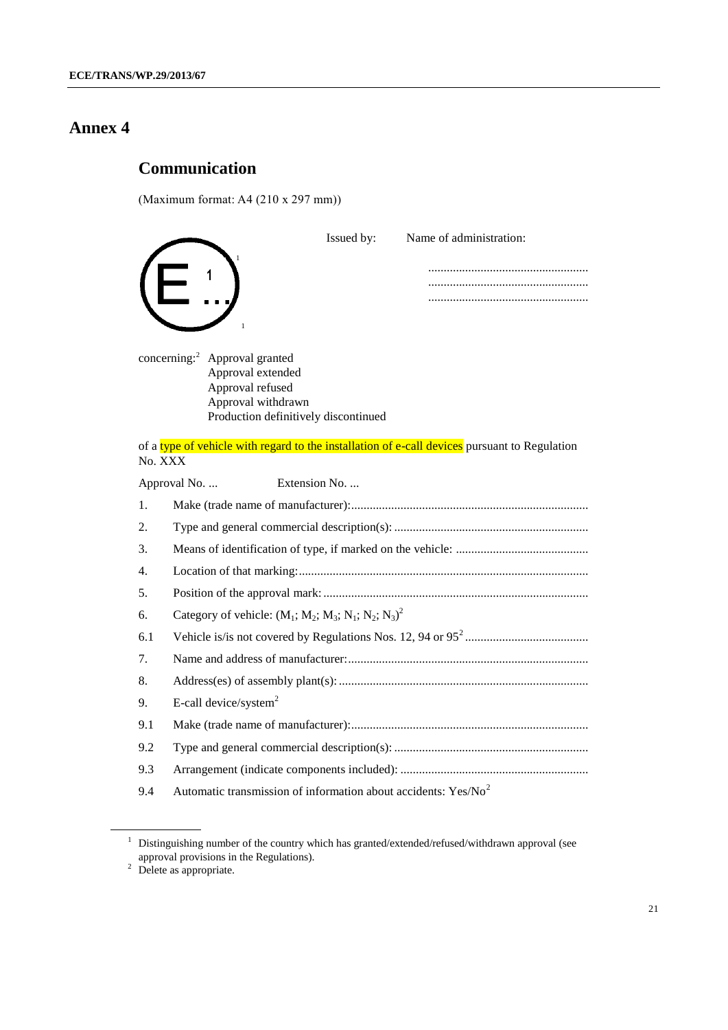# **Communication**

(Maximum format: A4 (210 x 297 mm))

|                                                                                                                                                  | Issued by:    | Name of administration:                                                                       |
|--------------------------------------------------------------------------------------------------------------------------------------------------|---------------|-----------------------------------------------------------------------------------------------|
|                                                                                                                                                  |               |                                                                                               |
| concerning: <sup>2</sup> Approval granted<br>Approval extended<br>Approval refused<br>Approval withdrawn<br>Production definitively discontinued |               |                                                                                               |
| No. XXX                                                                                                                                          |               | of a type of vehicle with regard to the installation of e-call devices pursuant to Regulation |
| Approval No.                                                                                                                                     | Extension No. |                                                                                               |
| 1.                                                                                                                                               |               |                                                                                               |
| 2.                                                                                                                                               |               |                                                                                               |
| 3.                                                                                                                                               |               |                                                                                               |
| 4.                                                                                                                                               |               |                                                                                               |
| 5.                                                                                                                                               |               |                                                                                               |
| Category of vehicle: $(M_1; M_2; M_3; N_1; N_2; N_3)^2$<br>6.                                                                                    |               |                                                                                               |
| 6.1                                                                                                                                              |               |                                                                                               |
| 7.                                                                                                                                               |               |                                                                                               |
| 8.                                                                                                                                               |               |                                                                                               |
| E-call device/system <sup>2</sup><br>9.                                                                                                          |               |                                                                                               |
| 9.1                                                                                                                                              |               |                                                                                               |
| 9.2                                                                                                                                              |               |                                                                                               |
| 9.3                                                                                                                                              |               |                                                                                               |
| Automatic transmission of information about accidents: $Yes/No2$<br>9.4                                                                          |               |                                                                                               |

 $1$  Distinguishing number of the country which has granted/extended/refused/withdrawn approval (see approval provisions in the Regulations).

 $2$  Delete as appropriate.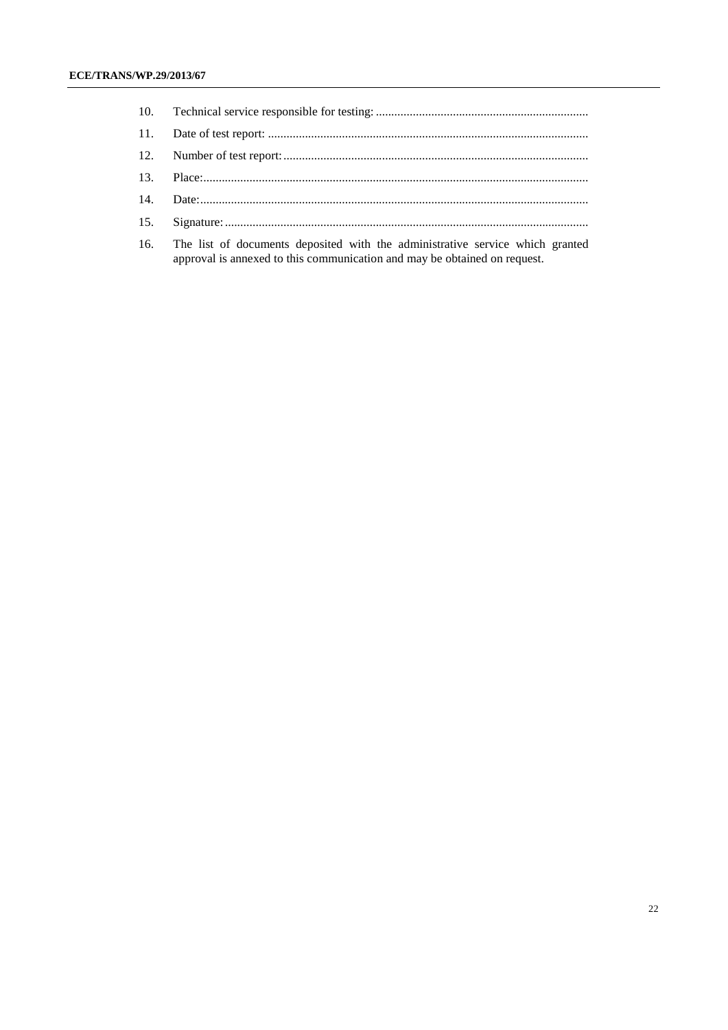| 16. The list of documents deposited with the administrative service which granted |
|-----------------------------------------------------------------------------------|

approval is annexed to this communication and may be obtained on request.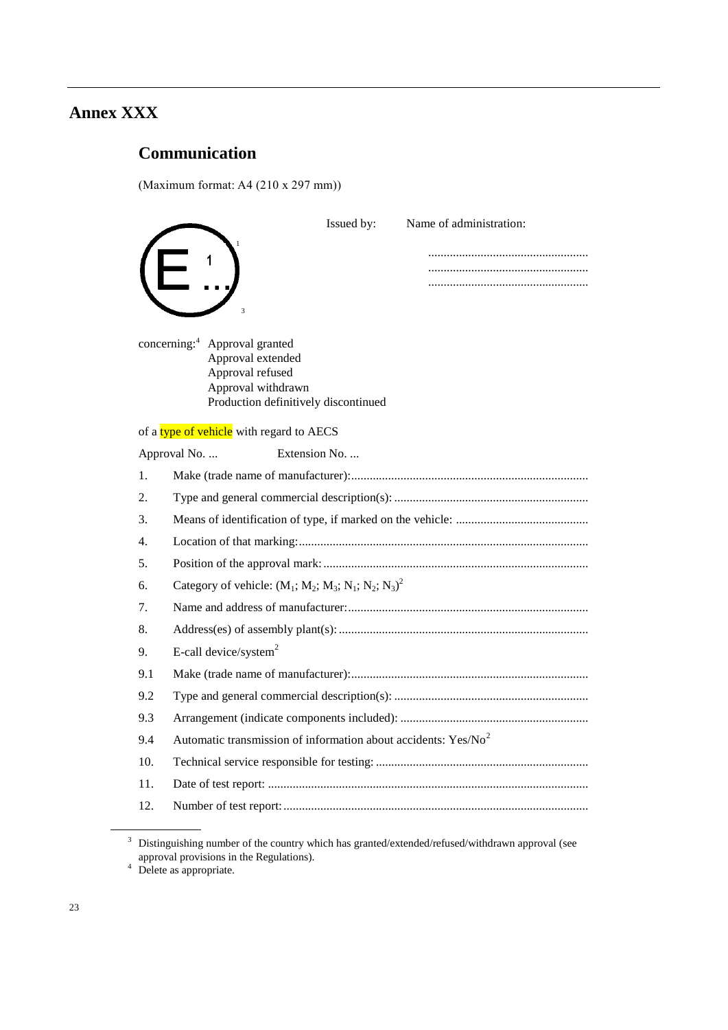# **Annex XXX**

# **Communication**

(Maximum format: A4 (210 x 297 mm))

|                                                                                                                                                  | Issued by: | Name of administration: |
|--------------------------------------------------------------------------------------------------------------------------------------------------|------------|-------------------------|
| $\overline{\mathbf{3}}$                                                                                                                          |            |                         |
| concerning: <sup>4</sup> Approval granted<br>Approval extended<br>Approval refused<br>Approval withdrawn<br>Production definitively discontinued |            |                         |
| of a type of vehicle with regard to AECS                                                                                                         |            |                         |
| Approval No.<br>Extension No.                                                                                                                    |            |                         |
| $\mathbf{1}$ .                                                                                                                                   |            |                         |
| 2.                                                                                                                                               |            |                         |
| $\mathcal{F}_{\mathcal{F}}$                                                                                                                      |            |                         |
| 4.                                                                                                                                               |            |                         |
| 5.                                                                                                                                               |            |                         |
| Category of vehicle: $(M_1; M_2; M_3; N_1; N_2; N_3)^2$<br>6.                                                                                    |            |                         |
| 7.                                                                                                                                               |            |                         |
| 8.                                                                                                                                               |            |                         |
| E-call device/system <sup>2</sup><br>9.                                                                                                          |            |                         |
| 9.1                                                                                                                                              |            |                         |
| 9.2                                                                                                                                              |            |                         |
| 9.3                                                                                                                                              |            |                         |
| Automatic transmission of information about accidents: $Yes/No2$<br>9.4                                                                          |            |                         |
| 10.                                                                                                                                              |            |                         |
| 11.                                                                                                                                              |            |                         |
| 12.                                                                                                                                              |            |                         |

 $3$  Distinguishing number of the country which has granted/extended/refused/withdrawn approval (see approval provisions in the Regulations).

 $4$  Delete as appropriate.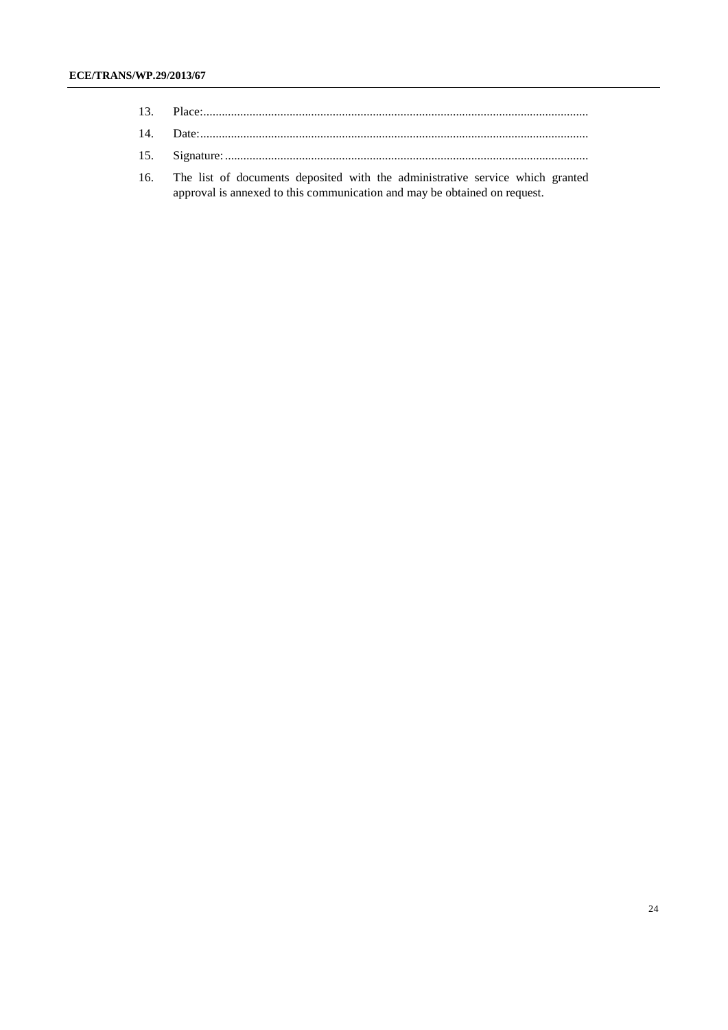| 13. |  |
|-----|--|
|     |  |

- 15. Signature:......................................................................................................................
- 16. The list of documents deposited with the administrative service which granted approval is annexed to this communication and may be obtained on request.